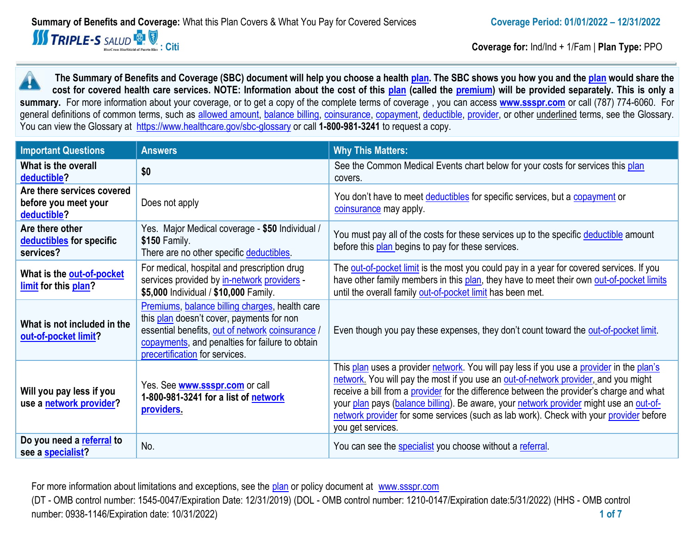

**: Citi Coverage for:** Ind/Ind + 1/Fam | **Plan Type:** PPO

**The Summary of Benefits and Coverage (SBC) document will help you choose a health [plan.](https://www.healthcare.gov/sbc-glossary/#plan) The SBC shows you how you and the [plan](https://www.healthcare.gov/sbc-glossary/#plan) would share the cost for covered health care services. NOTE: Information about the cost of this [plan](https://www.healthcare.gov/sbc-glossary/#plan) (called the [premium\)](https://www.healthcare.gov/sbc-glossary/#premium) will be provided separately. This is only a summary.** For more information about your coverage, or to get a copy of the complete terms of coverage , you can access **[www.ssspr.com](http://www.ssspr.com/)** or call (787) 774-6060. For general definitions of common terms, such as [allowed amount,](https://www.healthcare.gov/sbc-glossary/#allowed-amount) [balance billing,](https://www.healthcare.gov/sbc-glossary/#balance-billing) [coinsurance,](https://www.healthcare.gov/sbc-glossary/#coinsurance) [copayment,](https://www.healthcare.gov/sbc-glossary/#copayment) [deductible,](https://www.healthcare.gov/sbc-glossary/#deductible) [provider,](https://www.healthcare.gov/sbc-glossary/#provider) or other underlined terms, see the Glossary. You can view the Glossary at <https://www.healthcare.gov/sbc-glossary> or call **1-800-981-3241** to request a copy.

| <b>Important Questions</b>                                        | <b>Answers</b>                                                                                                                                                                                                                       | <b>Why This Matters:</b>                                                                                                                                                                                                                                                                                                                                                                                                                                                             |  |  |
|-------------------------------------------------------------------|--------------------------------------------------------------------------------------------------------------------------------------------------------------------------------------------------------------------------------------|--------------------------------------------------------------------------------------------------------------------------------------------------------------------------------------------------------------------------------------------------------------------------------------------------------------------------------------------------------------------------------------------------------------------------------------------------------------------------------------|--|--|
| What is the overall<br>deductible?                                | \$0                                                                                                                                                                                                                                  | See the Common Medical Events chart below for your costs for services this plan<br>covers.                                                                                                                                                                                                                                                                                                                                                                                           |  |  |
| Are there services covered<br>before you meet your<br>deductible? | Does not apply                                                                                                                                                                                                                       | You don't have to meet deductibles for specific services, but a copayment or<br>coinsurance may apply.                                                                                                                                                                                                                                                                                                                                                                               |  |  |
| Are there other<br>deductibles for specific<br>services?          | Yes. Major Medical coverage - \$50 Individual /<br>\$150 Family.<br>There are no other specific deductibles.                                                                                                                         | You must pay all of the costs for these services up to the specific deductible amount<br>before this plan begins to pay for these services.                                                                                                                                                                                                                                                                                                                                          |  |  |
| What is the out-of-pocket<br>limit for this plan?                 | For medical, hospital and prescription drug<br>services provided by in-network providers -<br>\$5,000 Individual / \$10,000 Family.                                                                                                  | The out-of-pocket limit is the most you could pay in a year for covered services. If you<br>have other family members in this plan, they have to meet their own out-of-pocket limits<br>until the overall family out-of-pocket limit has been met.                                                                                                                                                                                                                                   |  |  |
| What is not included in the<br>out-of-pocket limit?               | Premiums, balance billing charges, health care<br>this plan doesn't cover, payments for non<br>essential benefits, out of network coinsurance /<br>copayments, and penalties for failure to obtain<br>precertification for services. | Even though you pay these expenses, they don't count toward the out-of-pocket limit.                                                                                                                                                                                                                                                                                                                                                                                                 |  |  |
| Will you pay less if you<br>use a network provider?               | Yes. See <b>www.ssspr.com</b> or call<br>1-800-981-3241 for a list of network<br>providers.                                                                                                                                          | This plan uses a provider network. You will pay less if you use a provider in the plan's<br>network. You will pay the most if you use an out-of-network provider, and you might<br>receive a bill from a provider for the difference between the provider's charge and what<br>your plan pays (balance billing). Be aware, your network provider might use an out-of-<br>network provider for some services (such as lab work). Check with your provider before<br>you get services. |  |  |
| Do you need a referral to<br>see a specialist?                    | No.                                                                                                                                                                                                                                  | You can see the specialist you choose without a referral.                                                                                                                                                                                                                                                                                                                                                                                                                            |  |  |

For more information about limitations and exceptions, see the [plan](https://www.healthcare.gov/sbc-glossary/#plan) or policy document at [www.ssspr.com](http://www.ssspr.com/) (DT - OMB control number: 1545-0047/Expiration Date: 12/31/2019) (DOL - OMB control number: 1210-0147/Expiration date:5/31/2022) (HHS - OMB control number: 0938-1146/Expiration date: 10/31/2022) **1 of 7**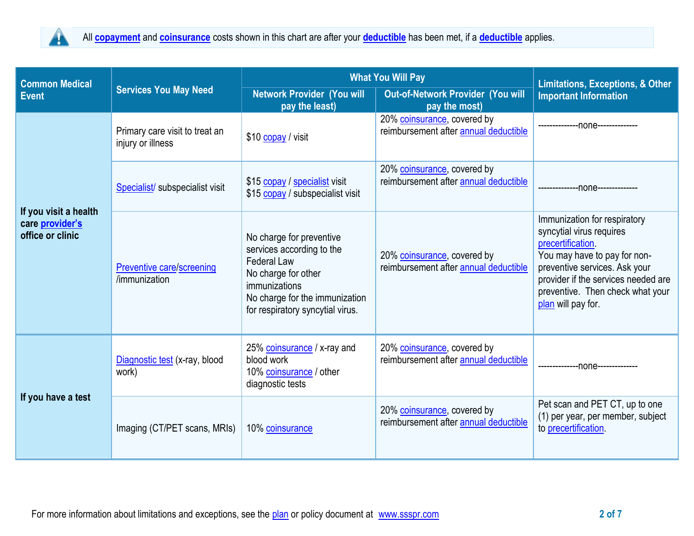

| <b>Common Medical</b>                                        | <b>Services You May Need</b>                        | <b>What You Will Pay</b>                                                                                                                                                                  | <b>Limitations, Exceptions, &amp; Other</b>                          |                                                                                                                                                                                                                                                       |
|--------------------------------------------------------------|-----------------------------------------------------|-------------------------------------------------------------------------------------------------------------------------------------------------------------------------------------------|----------------------------------------------------------------------|-------------------------------------------------------------------------------------------------------------------------------------------------------------------------------------------------------------------------------------------------------|
| <b>Event</b>                                                 |                                                     | <b>Network Provider (You will</b><br>pay the least)                                                                                                                                       | <b>Out-of-Network Provider (You will</b><br>pay the most)            | <b>Important Information</b>                                                                                                                                                                                                                          |
| If you visit a health<br>care provider's<br>office or clinic | Primary care visit to treat an<br>injury or illness | \$10 copay / visit                                                                                                                                                                        | 20% coinsurance, covered by<br>reimbursement after annual deductible | ------none------------                                                                                                                                                                                                                                |
|                                                              | Specialist/ subspecialist visit                     | \$15 copay / specialist visit<br>\$15 copay / subspecialist visit                                                                                                                         | 20% coinsurance, covered by<br>reimbursement after annual deductible | ---------------none--------------                                                                                                                                                                                                                     |
|                                                              | <b>Preventive care/screening</b><br>/immunization   | No charge for preventive<br>services according to the<br><b>Federal Law</b><br>No charge for other<br>immunizations<br>No charge for the immunization<br>for respiratory syncytial virus. | 20% coinsurance, covered by<br>reimbursement after annual deductible | Immunization for respiratory<br>syncytial virus requires<br><i>precertification</i><br>You may have to pay for non-<br>preventive services. Ask your<br>provider if the services needed are<br>preventive. Then check what your<br>plan will pay for. |
| If you have a test                                           | Diagnostic test (x-ray, blood<br>work)              | 25% coinsurance / x-ray and<br>blood work<br>10% coinsurance / other<br>diagnostic tests                                                                                                  | 20% coinsurance, covered by<br>reimbursement after annual deductible | --------------- 000e--------------                                                                                                                                                                                                                    |
|                                                              | Imaging (CT/PET scans, MRIs)                        | 10% coinsurance                                                                                                                                                                           | 20% coinsurance, covered by<br>reimbursement after annual deductible | Pet scan and PET CT, up to one<br>(1) per year, per member, subject<br>to precertification                                                                                                                                                            |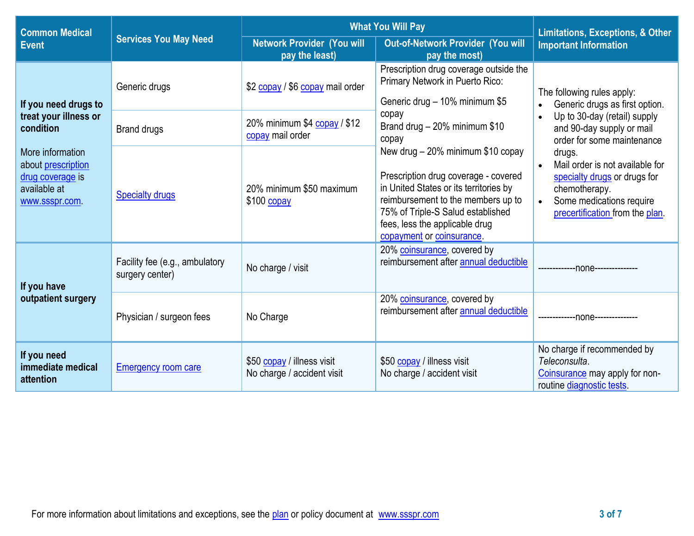| <b>Common Medical</b>                                                                       | <b>Services You May Need</b>                      | <b>What You Will Pay</b>                                 | <b>Limitations, Exceptions, &amp; Other</b>                                                                                                                                                                                                                   |                                                                                                                                                                                                                                                      |  |
|---------------------------------------------------------------------------------------------|---------------------------------------------------|----------------------------------------------------------|---------------------------------------------------------------------------------------------------------------------------------------------------------------------------------------------------------------------------------------------------------------|------------------------------------------------------------------------------------------------------------------------------------------------------------------------------------------------------------------------------------------------------|--|
| <b>Event</b>                                                                                |                                                   | <b>Network Provider (You will</b><br>pay the least)      | Out-of-Network Provider (You will<br>pay the most)                                                                                                                                                                                                            | <b>Important Information</b>                                                                                                                                                                                                                         |  |
| If you need drugs to                                                                        | Generic drugs                                     | \$2 copay / \$6 copay mail order                         | Prescription drug coverage outside the<br>Primary Network in Puerto Rico:<br>Generic drug - 10% minimum \$5                                                                                                                                                   | The following rules apply:<br>Generic drugs as first option.                                                                                                                                                                                         |  |
| treat your illness or<br>condition                                                          | <b>Brand drugs</b>                                | 20% minimum \$4 copay / \$12<br>copay mail order         | copay<br>Brand drug - 20% minimum \$10<br>copay                                                                                                                                                                                                               | Up to 30-day (retail) supply<br>and 90-day supply or mail<br>order for some maintenance<br>drugs.<br>Mail order is not available for<br>specialty drugs or drugs for<br>chemotherapy.<br>Some medications require<br>precertification from the plan. |  |
| More information<br>about prescription<br>drug coverage is<br>available at<br>www.ssspr.com | <b>Specialty drugs</b>                            | 20% minimum \$50 maximum<br>\$100 copay                  | New drug - 20% minimum \$10 copay<br>Prescription drug coverage - covered<br>in United States or its territories by<br>reimbursement to the members up to<br>75% of Triple-S Salud established<br>fees, less the applicable drug<br>copayment or coinsurance. |                                                                                                                                                                                                                                                      |  |
| If you have                                                                                 | Facility fee (e.g., ambulatory<br>surgery center) | No charge / visit                                        | 20% coinsurance, covered by<br>reimbursement after annual deductible                                                                                                                                                                                          | --none----------------                                                                                                                                                                                                                               |  |
| outpatient surgery                                                                          | Physician / surgeon fees                          | No Charge                                                | 20% coinsurance, covered by<br>reimbursement after annual deductible                                                                                                                                                                                          | --------------none---------------                                                                                                                                                                                                                    |  |
| If you need<br>immediate medical<br>attention                                               | <b>Emergency room care</b>                        | \$50 copay / illness visit<br>No charge / accident visit | \$50 copay / illness visit<br>No charge / accident visit                                                                                                                                                                                                      | No charge if recommended by<br>Teleconsulta.<br>Coinsurance may apply for non-<br>routine diagnostic tests.                                                                                                                                          |  |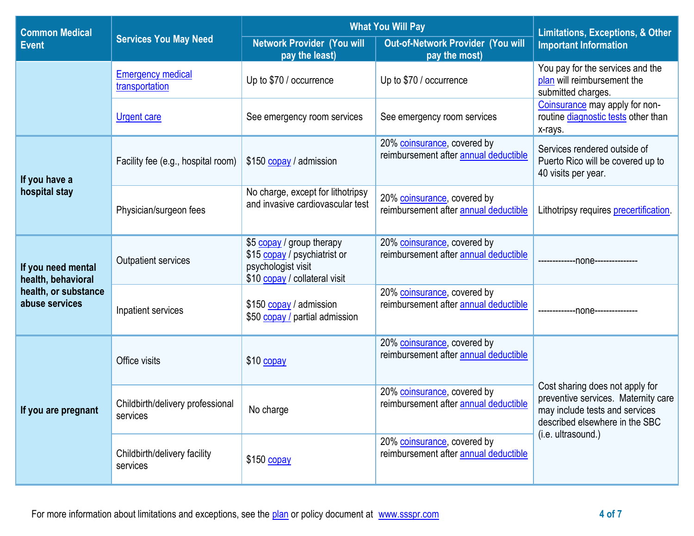| <b>Common Medical</b>                    | <b>Services You May Need</b>                 | <b>What You Will Pay</b>                                                                                         | <b>Limitations, Exceptions, &amp; Other</b>                          |                                                                                                                                            |  |
|------------------------------------------|----------------------------------------------|------------------------------------------------------------------------------------------------------------------|----------------------------------------------------------------------|--------------------------------------------------------------------------------------------------------------------------------------------|--|
| <b>Event</b>                             |                                              | <b>Network Provider (You will</b><br>pay the least)                                                              | Out-of-Network Provider (You will<br>pay the most)                   | <b>Important Information</b>                                                                                                               |  |
|                                          | <b>Emergency medical</b><br>transportation   | Up to \$70 / occurrence                                                                                          | Up to \$70 / occurrence                                              | You pay for the services and the<br>plan will reimbursement the<br>submitted charges.                                                      |  |
|                                          | <b>Urgent care</b>                           | See emergency room services                                                                                      | See emergency room services                                          | Coinsurance may apply for non-<br>routine diagnostic tests other than<br>x-rays.                                                           |  |
| If you have a                            | Facility fee (e.g., hospital room)           | \$150 copay / admission                                                                                          | 20% coinsurance, covered by<br>reimbursement after annual deductible | Services rendered outside of<br>Puerto Rico will be covered up to<br>40 visits per year.                                                   |  |
| hospital stay                            | Physician/surgeon fees                       | No charge, except for lithotripsy<br>and invasive cardiovascular test                                            | 20% coinsurance, covered by<br>reimbursement after annual deductible | Lithotripsy requires precertification.                                                                                                     |  |
| If you need mental<br>health, behavioral | <b>Outpatient services</b>                   | \$5 copay / group therapy<br>\$15 copay / psychiatrist or<br>psychologist visit<br>\$10 copay / collateral visit | 20% coinsurance, covered by<br>reimbursement after annual deductible | -------------000e--------------                                                                                                            |  |
| health, or substance<br>abuse services   | Inpatient services                           | \$150 copay / admission<br>\$50 copay / partial admission                                                        | 20% coinsurance, covered by<br>reimbursement after annual deductible | --none------------                                                                                                                         |  |
|                                          | Office visits                                | $$10$ copay                                                                                                      | 20% coinsurance, covered by<br>reimbursement after annual deductible |                                                                                                                                            |  |
| If you are pregnant                      | Childbirth/delivery professional<br>services | No charge                                                                                                        | 20% coinsurance, covered by<br>reimbursement after annual deductible | Cost sharing does not apply for<br>preventive services. Maternity care<br>may include tests and services<br>described elsewhere in the SBC |  |
|                                          | Childbirth/delivery facility<br>services     | \$150 copay                                                                                                      | 20% coinsurance, covered by<br>reimbursement after annual deductible | (i.e. ultrasound.)                                                                                                                         |  |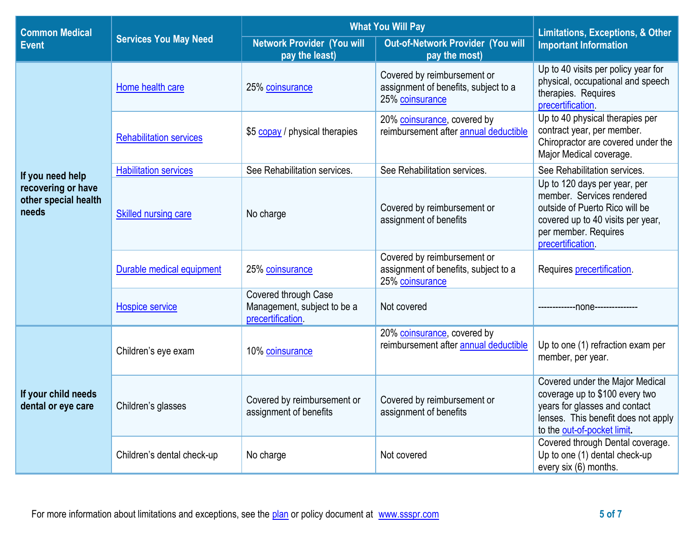| <b>Common Medical</b>                               | <b>Services You May Need</b>   | <b>What You Will Pay</b>                                                 | <b>Limitations, Exceptions, &amp; Other</b>                                            |                                                                                                                                                                               |
|-----------------------------------------------------|--------------------------------|--------------------------------------------------------------------------|----------------------------------------------------------------------------------------|-------------------------------------------------------------------------------------------------------------------------------------------------------------------------------|
| <b>Event</b>                                        |                                | <b>Network Provider (You will</b><br>pay the least)                      | Out-of-Network Provider (You will<br>pay the most)                                     | <b>Important Information</b>                                                                                                                                                  |
|                                                     | Home health care               | 25% coinsurance                                                          | Covered by reimbursement or<br>assignment of benefits, subject to a<br>25% coinsurance | Up to 40 visits per policy year for<br>physical, occupational and speech<br>therapies. Requires<br>precertification.                                                          |
|                                                     | <b>Rehabilitation services</b> | \$5 copay / physical therapies                                           | 20% coinsurance, covered by<br>reimbursement after annual deductible                   | Up to 40 physical therapies per<br>contract year, per member.<br>Chiropractor are covered under the<br>Major Medical coverage.                                                |
| If you need help                                    | <b>Habilitation services</b>   | See Rehabilitation services.                                             | See Rehabilitation services.                                                           | See Rehabilitation services.                                                                                                                                                  |
| recovering or have<br>other special health<br>needs | Skilled nursing care           | No charge                                                                | Covered by reimbursement or<br>assignment of benefits                                  | Up to 120 days per year, per<br>member. Services rendered<br>outside of Puerto Rico will be<br>covered up to 40 visits per year,<br>per member. Requires<br>precertification. |
|                                                     | Durable medical equipment      | 25% coinsurance                                                          | Covered by reimbursement or<br>assignment of benefits, subject to a<br>25% coinsurance | Requires precertification.                                                                                                                                                    |
|                                                     | <b>Hospice service</b>         | Covered through Case<br>Management, subject to be a<br>precertification. | Not covered                                                                            | ---none---------------                                                                                                                                                        |
|                                                     | Children's eye exam            | 10% coinsurance                                                          | 20% coinsurance, covered by<br>reimbursement after annual deductible                   | Up to one (1) refraction exam per<br>member, per year.                                                                                                                        |
| If your child needs<br>dental or eye care           | Children's glasses             | Covered by reimbursement or<br>assignment of benefits                    | Covered by reimbursement or<br>assignment of benefits                                  | Covered under the Major Medical<br>coverage up to \$100 every two<br>years for glasses and contact<br>lenses. This benefit does not apply<br>to the out-of-pocket limit.      |
|                                                     | Children's dental check-up     | No charge                                                                | Not covered                                                                            | Covered through Dental coverage.<br>Up to one (1) dental check-up<br>every six (6) months.                                                                                    |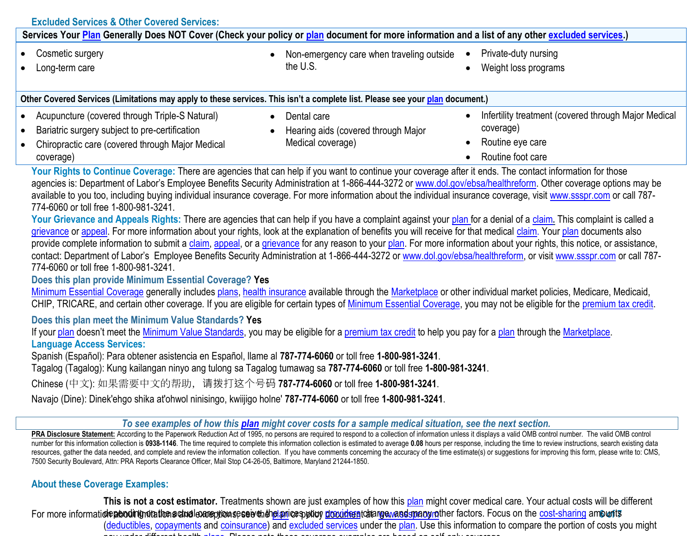| <b>Excluded Services &amp; Other Covered Services:</b>                                                                                                                                                                                                                                                                                                                                                                                                                                                                                                                                                                                                                                                                                                                                                                                                                                                                                                                                                                                                                                                                                                                                                                                                                                                                                                                                                                                                                                                                                                                                                                                                                                                                                                                                                                                                                                                                                                                                                                                                                                                                                                                                                                                                                                                                                                                        |                                                                                                                                                                                                                                                                                                                                                                                                                                                             |  |  |  |  |
|-------------------------------------------------------------------------------------------------------------------------------------------------------------------------------------------------------------------------------------------------------------------------------------------------------------------------------------------------------------------------------------------------------------------------------------------------------------------------------------------------------------------------------------------------------------------------------------------------------------------------------------------------------------------------------------------------------------------------------------------------------------------------------------------------------------------------------------------------------------------------------------------------------------------------------------------------------------------------------------------------------------------------------------------------------------------------------------------------------------------------------------------------------------------------------------------------------------------------------------------------------------------------------------------------------------------------------------------------------------------------------------------------------------------------------------------------------------------------------------------------------------------------------------------------------------------------------------------------------------------------------------------------------------------------------------------------------------------------------------------------------------------------------------------------------------------------------------------------------------------------------------------------------------------------------------------------------------------------------------------------------------------------------------------------------------------------------------------------------------------------------------------------------------------------------------------------------------------------------------------------------------------------------------------------------------------------------------------------------------------------------|-------------------------------------------------------------------------------------------------------------------------------------------------------------------------------------------------------------------------------------------------------------------------------------------------------------------------------------------------------------------------------------------------------------------------------------------------------------|--|--|--|--|
|                                                                                                                                                                                                                                                                                                                                                                                                                                                                                                                                                                                                                                                                                                                                                                                                                                                                                                                                                                                                                                                                                                                                                                                                                                                                                                                                                                                                                                                                                                                                                                                                                                                                                                                                                                                                                                                                                                                                                                                                                                                                                                                                                                                                                                                                                                                                                                               | Services Your Plan Generally Does NOT Cover (Check your policy or plan document for more information and a list of any other excluded services.)                                                                                                                                                                                                                                                                                                            |  |  |  |  |
| Cosmetic surgery<br>$\bullet$                                                                                                                                                                                                                                                                                                                                                                                                                                                                                                                                                                                                                                                                                                                                                                                                                                                                                                                                                                                                                                                                                                                                                                                                                                                                                                                                                                                                                                                                                                                                                                                                                                                                                                                                                                                                                                                                                                                                                                                                                                                                                                                                                                                                                                                                                                                                                 | Private-duty nursing<br>Non-emergency care when traveling outside<br>$\bullet$                                                                                                                                                                                                                                                                                                                                                                              |  |  |  |  |
| Long-term care                                                                                                                                                                                                                                                                                                                                                                                                                                                                                                                                                                                                                                                                                                                                                                                                                                                                                                                                                                                                                                                                                                                                                                                                                                                                                                                                                                                                                                                                                                                                                                                                                                                                                                                                                                                                                                                                                                                                                                                                                                                                                                                                                                                                                                                                                                                                                                | the U.S.<br>Weight loss programs<br>$\bullet$                                                                                                                                                                                                                                                                                                                                                                                                               |  |  |  |  |
|                                                                                                                                                                                                                                                                                                                                                                                                                                                                                                                                                                                                                                                                                                                                                                                                                                                                                                                                                                                                                                                                                                                                                                                                                                                                                                                                                                                                                                                                                                                                                                                                                                                                                                                                                                                                                                                                                                                                                                                                                                                                                                                                                                                                                                                                                                                                                                               |                                                                                                                                                                                                                                                                                                                                                                                                                                                             |  |  |  |  |
| Other Covered Services (Limitations may apply to these services. This isn't a complete list. Please see your plan document.)                                                                                                                                                                                                                                                                                                                                                                                                                                                                                                                                                                                                                                                                                                                                                                                                                                                                                                                                                                                                                                                                                                                                                                                                                                                                                                                                                                                                                                                                                                                                                                                                                                                                                                                                                                                                                                                                                                                                                                                                                                                                                                                                                                                                                                                  |                                                                                                                                                                                                                                                                                                                                                                                                                                                             |  |  |  |  |
| Acupuncture (covered through Triple-S Natural)<br>$\bullet$                                                                                                                                                                                                                                                                                                                                                                                                                                                                                                                                                                                                                                                                                                                                                                                                                                                                                                                                                                                                                                                                                                                                                                                                                                                                                                                                                                                                                                                                                                                                                                                                                                                                                                                                                                                                                                                                                                                                                                                                                                                                                                                                                                                                                                                                                                                   | Infertility treatment (covered through Major Medical<br>Dental care<br>$\bullet$<br>$\bullet$                                                                                                                                                                                                                                                                                                                                                               |  |  |  |  |
| Bariatric surgery subject to pre-certification                                                                                                                                                                                                                                                                                                                                                                                                                                                                                                                                                                                                                                                                                                                                                                                                                                                                                                                                                                                                                                                                                                                                                                                                                                                                                                                                                                                                                                                                                                                                                                                                                                                                                                                                                                                                                                                                                                                                                                                                                                                                                                                                                                                                                                                                                                                                | coverage)<br>Hearing aids (covered through Major<br>$\bullet$                                                                                                                                                                                                                                                                                                                                                                                               |  |  |  |  |
| Chiropractic care (covered through Major Medical                                                                                                                                                                                                                                                                                                                                                                                                                                                                                                                                                                                                                                                                                                                                                                                                                                                                                                                                                                                                                                                                                                                                                                                                                                                                                                                                                                                                                                                                                                                                                                                                                                                                                                                                                                                                                                                                                                                                                                                                                                                                                                                                                                                                                                                                                                                              | Medical coverage)<br>Routine eye care<br>$\bullet$                                                                                                                                                                                                                                                                                                                                                                                                          |  |  |  |  |
| coverage)                                                                                                                                                                                                                                                                                                                                                                                                                                                                                                                                                                                                                                                                                                                                                                                                                                                                                                                                                                                                                                                                                                                                                                                                                                                                                                                                                                                                                                                                                                                                                                                                                                                                                                                                                                                                                                                                                                                                                                                                                                                                                                                                                                                                                                                                                                                                                                     | Routine foot care                                                                                                                                                                                                                                                                                                                                                                                                                                           |  |  |  |  |
| Your Rights to Continue Coverage: There are agencies that can help if you want to continue your coverage after it ends. The contact information for those<br>agencies is: Department of Labor's Employee Benefits Security Administration at 1-866-444-3272 or www.dol.gov/ebsa/healthreform. Other coverage options may be<br>available to you too, including buying individual insurance coverage. For more information about the individual insurance coverage, visit www.ssspr.com or call 787-<br>774-6060 or toll free 1-800-981-3241.<br>Your Grievance and Appeals Rights: There are agencies that can help if you have a complaint against your plan for a denial of a claim. This complaint is called a<br>grievance or appeal. For more information about your rights, look at the explanation of benefits you will receive for that medical claim. Your plan documents also<br>provide complete information to submit a claim, appeal, or a grievance for any reason to your plan. For more information about your rights, this notice, or assistance,<br>contact: Department of Labor's Employee Benefits Security Administration at 1-866-444-3272 or www.dol.gov/ebsa/healthreform, or visit www.ssspr.com or call 787-<br>774-6060 or toll free 1-800-981-3241.<br>Does this plan provide Minimum Essential Coverage? Yes<br>Minimum Essential Coverage generally includes plans, health insurance available through the Marketplace or other individual market policies, Medicare, Medicaid,<br>CHIP, TRICARE, and certain other coverage. If you are eligible for certain types of Minimum Essential Coverage, you may not be eligible for the premium tax credit.<br>Does this plan meet the Minimum Value Standards? Yes<br>If your plan doesn't meet the Minimum Value Standards, you may be eligible for a premium tax credit to help you pay for a plan through the Marketplace.<br><b>Language Access Services:</b><br>Spanish (Español): Para obtener asistencia en Español, llame al 787-774-6060 or toll free 1-800-981-3241.<br>Tagalog (Tagalog): Kung kailangan ninyo ang tulong sa Tagalog tumawag sa 787-774-6060 or toll free 1-800-981-3241.<br>Chinese (中文): 如果需要中文的帮助, 请拨打这个号码 787-774-6060 or toll free 1-800-981-3241.<br>Navajo (Dine): Dinek'ehgo shika at'ohwol ninisingo, kwiijigo holne' 787-774-6060 or toll free 1-800-981-3241. |                                                                                                                                                                                                                                                                                                                                                                                                                                                             |  |  |  |  |
|                                                                                                                                                                                                                                                                                                                                                                                                                                                                                                                                                                                                                                                                                                                                                                                                                                                                                                                                                                                                                                                                                                                                                                                                                                                                                                                                                                                                                                                                                                                                                                                                                                                                                                                                                                                                                                                                                                                                                                                                                                                                                                                                                                                                                                                                                                                                                                               | To see examples of how this plan might cover costs for a sample medical situation, see the next section.<br>PRA Disclosure Statement: According to the Paperwork Reduction Act of 1995, no persons are required to respond to a collection of information unless it displays a valid OMB control number. The valid OMB control                                                                                                                              |  |  |  |  |
| 7500 Security Boulevard, Attn: PRA Reports Clearance Officer, Mail Stop C4-26-05, Baltimore, Maryland 21244-1850.                                                                                                                                                                                                                                                                                                                                                                                                                                                                                                                                                                                                                                                                                                                                                                                                                                                                                                                                                                                                                                                                                                                                                                                                                                                                                                                                                                                                                                                                                                                                                                                                                                                                                                                                                                                                                                                                                                                                                                                                                                                                                                                                                                                                                                                             | number for this information collection is 0938-1146. The time required to complete this information collection is estimated to average 0.08 hours per response, including the time to review instructions, search existing dat<br>resources, gather the data needed, and complete and review the information collection. If you have comments concerning the accuracy of the time estimate(s) or suggestions for improving this form, please write to: CMS, |  |  |  |  |
| <b>About these Coverage Examples:</b>                                                                                                                                                                                                                                                                                                                                                                                                                                                                                                                                                                                                                                                                                                                                                                                                                                                                                                                                                                                                                                                                                                                                                                                                                                                                                                                                                                                                                                                                                                                                                                                                                                                                                                                                                                                                                                                                                                                                                                                                                                                                                                                                                                                                                                                                                                                                         |                                                                                                                                                                                                                                                                                                                                                                                                                                                             |  |  |  |  |
| This is not a cost estimator. Treatments shown are just examples of how this plan might cover medical care. Your actual costs will be different                                                                                                                                                                                                                                                                                                                                                                                                                                                                                                                                                                                                                                                                                                                                                                                                                                                                                                                                                                                                                                                                                                                                                                                                                                                                                                                                                                                                                                                                                                                                                                                                                                                                                                                                                                                                                                                                                                                                                                                                                                                                                                                                                                                                                               |                                                                                                                                                                                                                                                                                                                                                                                                                                                             |  |  |  |  |
|                                                                                                                                                                                                                                                                                                                                                                                                                                                                                                                                                                                                                                                                                                                                                                                                                                                                                                                                                                                                                                                                                                                                                                                                                                                                                                                                                                                                                                                                                                                                                                                                                                                                                                                                                                                                                                                                                                                                                                                                                                                                                                                                                                                                                                                                                                                                                                               | For more informatiole aboding mitation setudioane priom seselve that panice spoticy drovide a telange was departed factors. Focus on the cost-sharing amounts                                                                                                                                                                                                                                                                                               |  |  |  |  |

[\(deductibles,](https://www.healthcare.gov/sbc-glossary/#deductible) [copayments](https://www.healthcare.gov/sbc-glossary/#copayment) and [coinsurance\)](https://www.healthcare.gov/sbc-glossary/#coinsurance) and [excluded services](https://www.healthcare.gov/sbc-glossary/#excluded-services) under the [plan.](https://www.healthcare.gov/sbc-glossary/#plan) Use this information to compare the portion of costs you might pay under different health [plans.](https://www.healthcare.gov/sbc-glossary/#plan) Please note these coverage examples are based on self-only coverage.